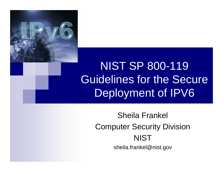

#### NIST SP 800-119 Guidelines for the Secure Deployment of IPV6

#### Sheila Frankel Computer Security Division **NIST** sheila.frankel@nist.gov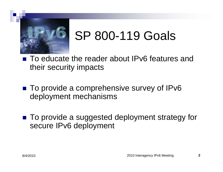

# SP 800-119 Goals

 $\frac{1}{2}$  To educate the reader about IPv6 features and their security impacts

- To provide a comprehensive survey of IPv6 deployment mechanisms
- $\blacksquare$  To provide a suggested deployment strategy for secure IPv6 deployment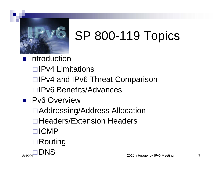

# SP 800-119 Topics

- **Introduction** 
	- □ IPv4 Limitations
	- □IPv4 and IPv6 Threat Comparison
	- □IPv6 Benefits/Advances
- **IPv6 Overview** 
	- Addressing/Address Allocation
	- $\Box$  Headers/Extension Headers
	- □**ICMP**
	- $\blacksquare$  Routing

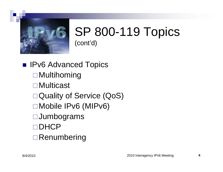

■ IPv6 Advanced Topics **□** Multihoming Multicast □ Quality of Service (QoS) Mobile IPv6 (MIPv6) **□Jumbograms** □DHCP  $\Box$  Renumbering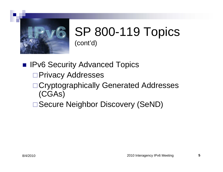

**IPv6 Security Advanced Topics** □ Privacy Addresses □ Cryptographically Generated Addresses (CGAs)

□ Secure Neighbor Discovery (SeND)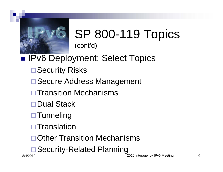

#### **IPv6 Deployment: Select Topics**

- **□ Security Risks**
- **□ Secure Address Management**
- **□Transition Mechanisms**
- □Dual Stack
- □ Tunneling
- $\square$ Translation
- □ Other Transition Mechanisms
- **□Security-Related Planning**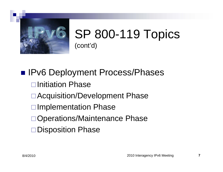

**IPv6 Deployment Process/Phases**  $\Box$ Initiation Phase □ Acquisition/Development Phase **□Implementation Phase** □Operations/Maintenance Phase □Disposition Phase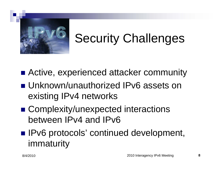

### Security Challenges

- $\blacksquare$  Active, experienced attacker community
- Unknown/unauthorized IPv6 assets on existing IPv4 networks
- Complexity/unexpected interactions between IPv4 and IPv6
- IPv6 protocols' continued development, immaturity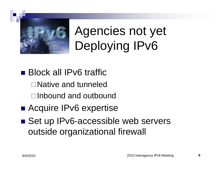

Agencies not yet Deploying IPv6

- Block all IPv6 traffic
	- Native and tunneled
	- **□**Inbound and outbound
- Acquire IPv6 expertise
- Set up IPv6-accessible web servers outside organizational firewall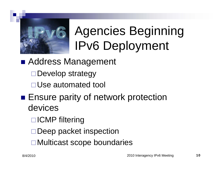

## Agencies Beginning IPv6 Deployment

- Address Management
	- □Develop strategy
	- □ Use automated tool
- **Ensure parity of network protection** devices
	- □ICMP filtering
	- □Deep packet inspection
	- **□ Multicast scope boundaries**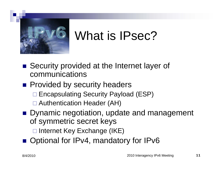

#### What is IPsec?

- Security provided at the Internet layer of communications
- **Provided by security headers** 
	- □ Encapsulating Security Payload (ESP)
	- □ Authentication Header (AH)
- Dynamic negotiation, update and management of symmetric secret keys

□ Internet Key Exchange (IKE)

■ Optional for IPv4, mandatory for IPv6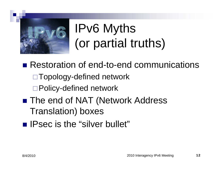

# IPv6 Myths (or partial truths)

■ Restoration of end-to-end communications  $\Box$  Topology-defined network □ Policy-defined network ■ The end of NAT (Network Address Translation) boxes

- 
- **IFSEC is the "silver bullet"**